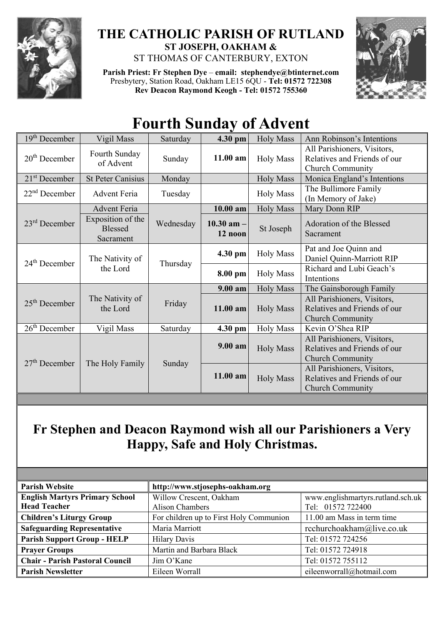

### **THE CATHOLIC PARISH OF RUTLAND ST JOSEPH, OAKHAM &**  ST THOMAS OF CANTERBURY, EXTON

**Parish Priest: Fr Stephen Dye** – **[email: stephendye@btinternet.com](mailto:email:%20%20stephendye@btinternet.com)** Presbytery, Station Road, Oakham LE15 6QU - **Tel: 01572 722308 Rev Deacon Raymond Keogh - Tel: 01572 755360**



# **Fourth Sunday of Advent**

| $19th$ December | Vigil Mass                                       | Saturday  | 4.30 pm                   | <b>Holy Mass</b> | Ann Robinson's Intentions                                                              |
|-----------------|--------------------------------------------------|-----------|---------------------------|------------------|----------------------------------------------------------------------------------------|
| $20th$ December | Fourth Sunday<br>of Advent                       | Sunday    | $11.00$ am                | <b>Holy Mass</b> | All Parishioners, Visitors,<br>Relatives and Friends of our<br>Church Community        |
| $21st$ December | <b>St Peter Canisius</b>                         | Monday    |                           | <b>Holy Mass</b> | Monica England's Intentions                                                            |
| $22nd$ December | <b>Advent Feria</b>                              | Tuesday   |                           | <b>Holy Mass</b> | The Bullimore Family<br>(In Memory of Jake)                                            |
|                 | <b>Advent Feria</b>                              |           | 10.00 am                  | <b>Holy Mass</b> | Mary Donn RIP                                                                          |
| $23rd$ December | Exposition of the<br><b>Blessed</b><br>Sacrament | Wednesday | $10.30$ am $-$<br>12 noon | St Joseph        | Adoration of the Blessed<br>Sacrament                                                  |
| $24th$ December | The Nativity of<br>the Lord                      | Thursday  | 4.30 pm                   | <b>Holy Mass</b> | Pat and Joe Quinn and<br>Daniel Quinn-Marriott RIP                                     |
|                 |                                                  |           | 8.00 pm                   | <b>Holy Mass</b> | Richard and Lubi Geach's<br>Intentions                                                 |
| $25th$ December | The Nativity of<br>the Lord                      | Friday    | $9.00 a$ m                | <b>Holy Mass</b> | The Gainsborough Family                                                                |
|                 |                                                  |           | 11.00 am                  | <b>Holy Mass</b> | All Parishioners, Visitors,<br>Relatives and Friends of our<br><b>Church Community</b> |
| $26th$ December | Vigil Mass                                       | Saturday  | 4.30 pm                   | <b>Holy Mass</b> | Kevin O'Shea RIP                                                                       |
| $27th$ December | The Holy Family                                  | Sunday    | 9.00 am                   | <b>Holy Mass</b> | All Parishioners, Visitors,<br>Relatives and Friends of our<br><b>Church Community</b> |
|                 |                                                  |           | 11.00 am                  | <b>Holy Mass</b> | All Parishioners, Visitors,<br>Relatives and Friends of our<br><b>Church Community</b> |

## **Fr Stephen and Deacon Raymond wish all our Parishioners a Very Happy, Safe and Holy Christmas.**

| <b>Parish Website</b>                                        | http://www.stjosephs-oakham.org                   |                                                        |  |  |
|--------------------------------------------------------------|---------------------------------------------------|--------------------------------------------------------|--|--|
| <b>English Martyrs Primary School</b><br><b>Head Teacher</b> | Willow Crescent, Oakham<br><b>Alison Chambers</b> | www.englishmartyrs.rutland.sch.uk<br>Tel: 01572 722400 |  |  |
| <b>Children's Liturgy Group</b>                              | For children up to First Holy Communion           | 11.00 am Mass in term time                             |  |  |
| <b>Safeguarding Representative</b>                           | Maria Marriott                                    | rcchurchoakham@live.co.uk                              |  |  |
| <b>Parish Support Group - HELP</b>                           | <b>Hilary Davis</b>                               | Tel: 01572 724256                                      |  |  |
| <b>Prayer Groups</b>                                         | Martin and Barbara Black                          | Tel: 01572 724918                                      |  |  |
| <b>Chair - Parish Pastoral Council</b>                       | Jim O'Kane                                        | Tel: 01572 755112                                      |  |  |
| <b>Parish Newsletter</b>                                     | Eileen Worrall                                    | eileenworrall@hotmail.com                              |  |  |